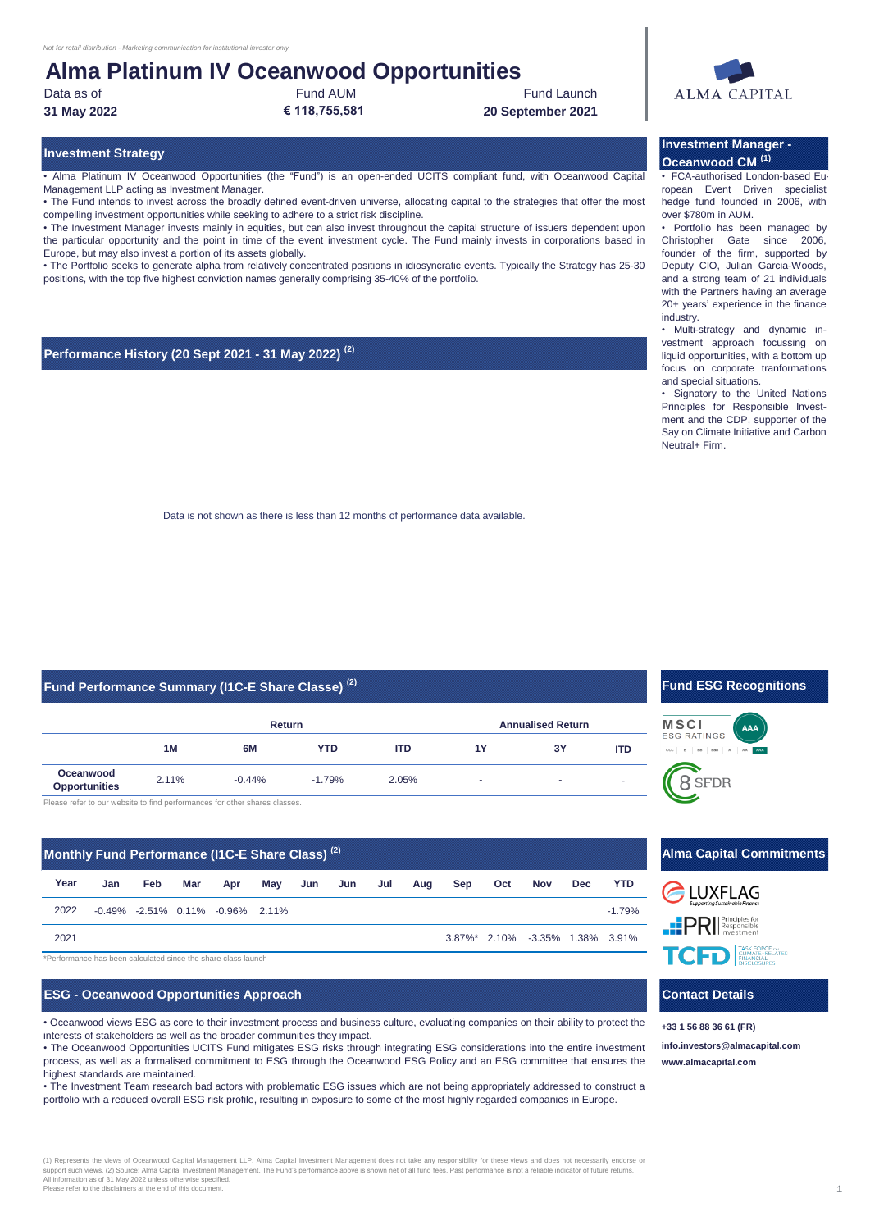## **Alma Platinum IV Oceanwood Opportunities**

Data as of

**31 May 2022**

Fund AUM **€ 118,755,581** Fund Launch

**20 September 2021**

### **Investment Strategy**

• Alma Platinum IV Oceanwood Opportunities (the "Fund") is an open-ended UCITS compliant fund, with Oceanwood Capital Management LLP acting as Investment Manager.

• The Fund intends to invest across the broadly defined event-driven universe, allocating capital to the strategies that offer the most compelling investment opportunities while seeking to adhere to a strict risk discipline.

• The Investment Manager invests mainly in equities, but can also invest throughout the capital structure of issuers dependent upon the particular opportunity and the point in time of the event investment cycle. The Fund mainly invests in corporations based in Europe, but may also invest a portion of its assets globally.

• The Portfolio seeks to generate alpha from relatively concentrated positions in idiosyncratic events. Typically the Strategy has 25-30 positions, with the top five highest conviction names generally comprising 35-40% of the portfolio.

#### **Performance History (20 Sept 2021 - 31 May 2022) (2)**

**Investment Manager - Oceanwood CM (1)**

• FCA-authorised London-based European Event Driven specialist hedge fund founded in 2006, with over \$780m in AUM.

• Portfolio has been managed by Christopher Gate since 2006, founder of the firm, supported by Deputy CIO, Julian Garcia-Woods, and a strong team of 21 individuals with the Partners having an average 20+ years' experience in the finance industry.

• Multi-strategy and dynamic investment approach focussing on liquid opportunities, with a bottom up focus on corporate tranformations and special situations.

• Signatory to the United Nations Principles for Responsible Investment and the CDP, supporter of the Say on Climate Initiative and Carbon Neutral+ Firm.

Data is not shown as there is less than 12 months of performance data available.

### **Fund Performance Summary (I1C-E Share Classe) (2)**

|                                   |       | Return   |            |            | <b>Annualised Return</b> |    |                          |
|-----------------------------------|-------|----------|------------|------------|--------------------------|----|--------------------------|
|                                   | 1M    | 6M       | <b>YTD</b> | <b>ITD</b> | 1Y                       | 3Y | <b>ITD</b>               |
| Oceanwood<br><b>Opportunities</b> | 2.11% | $-0.44%$ | $-1.79%$   | 2.05%      | ۰                        | ۰  | $\overline{\phantom{a}}$ |
|                                   |       |          |            |            |                          |    |                          |

ase refer to our website to find performances for other shares classes.

#### **Jan Feb Mar Apr May Jun Jun Jul Aug Sep Oct Nov Dec YTD** -0.49% -2.51% 0.11% -0.96% 2.11% -1.79% 3.87%\* 2.10% -3.35% 1.38% 3.91% \*Performance has been calculated since the share class launch **Year** 2021 **Monthly Fund Performance (I1C-E Share Class) (2)** 2022

#### **ESG - Oceanwood Opportunities Approach**

• Oceanwood views ESG as core to their investment process and business culture, evaluating companies on their ability to protect the interests of stakeholders as well as the broader communities they impact.

• The Oceanwood Opportunities UCITS Fund mitigates ESG risks through integrating ESG considerations into the entire investment process, as well as a formalised commitment to ESG through the Oceanwood ESG Policy and an ESG committee that ensures the highest standards are maintained.

• The Investment Team research bad actors with problematic ESG issues which are not being appropriately addressed to construct a portfolio with a reduced overall ESG risk profile, resulting in exposure to some of the most highly regarded companies in Europe.

### **Fund ESG Recognitions**





**EXAMPLE AND TASK FORCE CAN BE AT ED.** 

### **Contact Details**

**[info.investors@almacapital.com](mailto:info.investors@almacapital.com) [www.](http://www.almacapital.com/)almacapital.com +33 1 56 88 36 61 (FR)**



#### (1) Represents the views of Oceanwood Capital Management LLP. Alma Capital Investment Management does not take any responsibility for these views and does not nec support such views. (2) Source: Alma Capital Investment Management. The Fund's performance above is shown net of all fund fees. Past performance is not a reliable indicator of future returns.<br>All information as of 31 May 2 Inomialion as or of thay 2022 unices officitivise specific<br>Ica refer to the disclaimers at the end of this document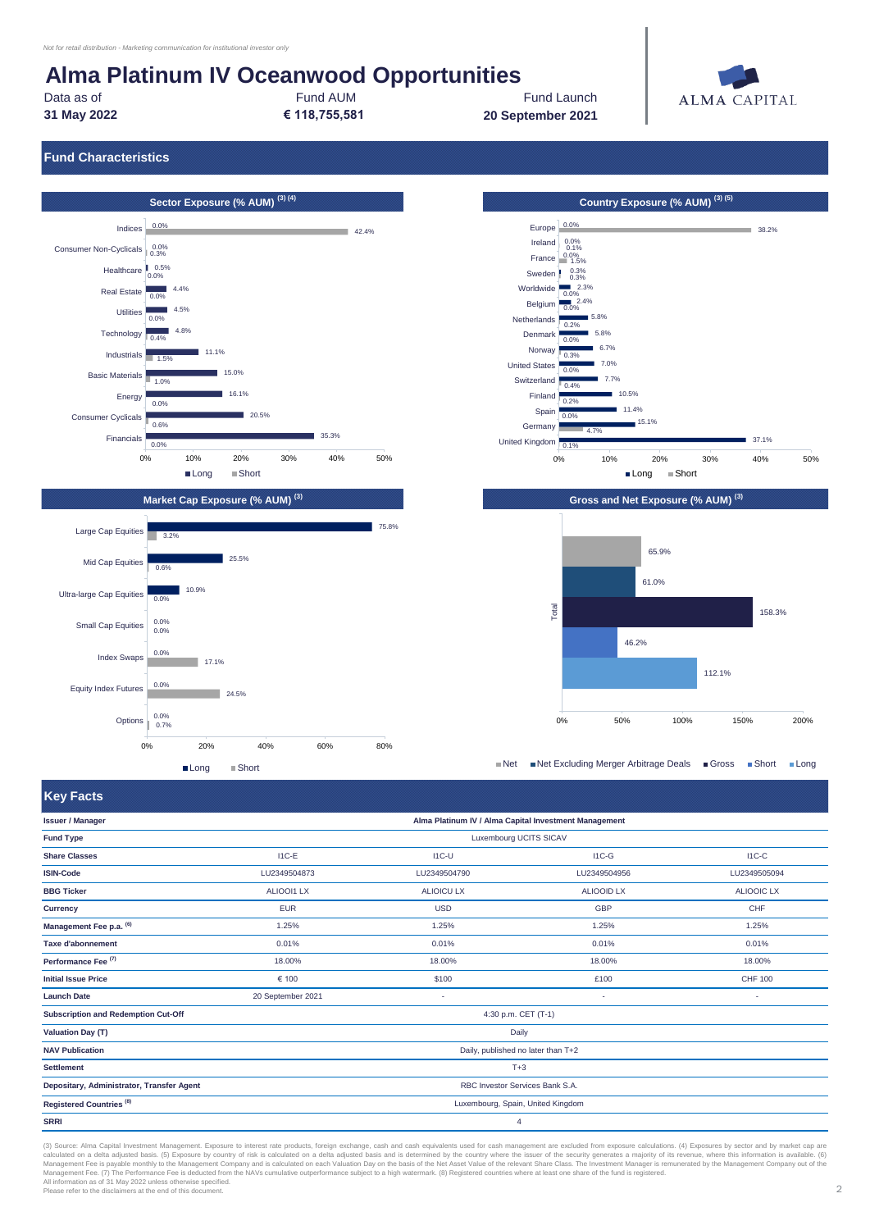10.9%

 $\frac{1}{17.1\%}$ 

24.5%

Long Short

0% 20% 40% 60% 80%

0.0% 0.0% 0.0%

Ultra-large Cap Equities <sub>0.0%</sub>

Small Cap Equities

Index Swaps

Equity Index Futures  $\frac{0}{2}$ 

0.0%

Options  $\begin{array}{r} 0.0\% \\ 0.7\% \end{array}$ 

# **Alma Platinum IV Oceanwood Opportunities**

**31 May 2022** Data as of

Fund AUM **€ 118,755,581**

Fund Launch **20 September 2021**



38.2%

37.1%

**Fund Characteristics**





■Net ■Net Excluding Merger Arbitrage Deals ■ Gross ■ Short ■ Long

**Key Facts**

| <b>INSY REGISTS</b>                       |                                    |                                                       |                   |                   |  |
|-------------------------------------------|------------------------------------|-------------------------------------------------------|-------------------|-------------------|--|
| <b>Issuer / Manager</b>                   |                                    | Alma Platinum IV / Alma Capital Investment Management |                   |                   |  |
| <b>Fund Type</b>                          | Luxembourg UCITS SICAV             |                                                       |                   |                   |  |
| <b>Share Classes</b>                      | $I1C-E$                            | $IC-U$                                                | $IC-G$            | $I1C-C$           |  |
| <b>ISIN-Code</b>                          | LU2349504873                       | LU2349504790                                          | LU2349504956      | LU2349505094      |  |
| <b>BBG Ticker</b>                         | <b>ALIOOI1 LX</b>                  | <b>ALIOICU LX</b>                                     | <b>ALIOOID LX</b> | <b>ALIOOIC LX</b> |  |
| Currency                                  | <b>EUR</b>                         | <b>USD</b>                                            | <b>GBP</b>        | CHF               |  |
| Management Fee p.a. (6)                   | 1.25%                              | 1.25%                                                 | 1.25%             | 1.25%             |  |
| <b>Taxe d'abonnement</b>                  | 0.01%                              | 0.01%                                                 | 0.01%             | 0.01%             |  |
| Performance Fee <sup>(7)</sup>            | 18.00%                             | 18.00%                                                | 18.00%            | 18.00%            |  |
| <b>Initial Issue Price</b>                | € 100                              | \$100                                                 | £100              | <b>CHF 100</b>    |  |
| <b>Launch Date</b>                        | 20 September 2021                  | ٠                                                     | ٠                 | ٠                 |  |
| Subscription and Redemption Cut-Off       |                                    | 4:30 p.m. CET (T-1)                                   |                   |                   |  |
| <b>Valuation Day (T)</b>                  |                                    | Daily                                                 |                   |                   |  |
| <b>NAV Publication</b>                    | Daily, published no later than T+2 |                                                       |                   |                   |  |
| <b>Settlement</b>                         | $T+3$                              |                                                       |                   |                   |  |
| Depositary, Administrator, Transfer Agent |                                    | RBC Investor Services Bank S.A.                       |                   |                   |  |
| Registered Countries <sup>(8)</sup>       | Luxembourg, Spain, United Kingdom  |                                                       |                   |                   |  |
| <b>SRRI</b>                               | 4                                  |                                                       |                   |                   |  |

(3) Source: Alma Capital Investment Management. Exposure to interest rate products, foreign exchange, cash and cash equivalents used for cash management are excluded from exposure calculations. (4) Exposures by sector and calculated on a delta adjusted basis. (5) Exposure by country of risk is calculated on a delta adjusted basis and is determined by the country where the issuer of the security generates a majority of its revenue, where thi All information as of 31 May 2022 unless otherwise specified. Please refer to the disclaimers at the end of this document.